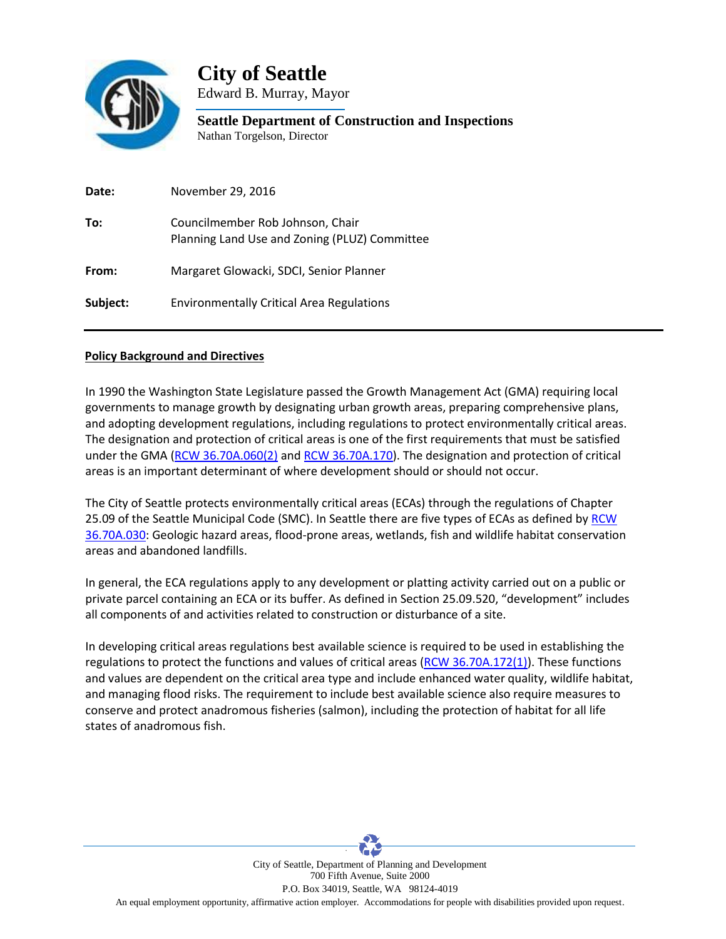

**City of Seattle**

Edward B. Murray, Mayor

**Seattle Department of Construction and Inspections** Nathan Torgelson, Director

| Date:    | November 29, 2016                                                                 |
|----------|-----------------------------------------------------------------------------------|
| To:      | Councilmember Rob Johnson, Chair<br>Planning Land Use and Zoning (PLUZ) Committee |
| From:    | Margaret Glowacki, SDCI, Senior Planner                                           |
| Subject: | <b>Environmentally Critical Area Regulations</b>                                  |

## **Policy Background and Directives**

In 1990 the Washington State Legislature passed the Growth Management Act (GMA) requiring local governments to manage growth by designating urban growth areas, preparing comprehensive plans, and adopting development regulations, including regulations to protect environmentally critical areas. The designation and protection of critical areas is one of the first requirements that must be satisfied under the GMA [\(RCW 36.70A.060\(2\)](http://apps.leg.wa.gov/RCW/default.aspx?cite=36.70A.060) and [RCW 36.70A.170\)](http://apps.leg.wa.gov/rcw/default.aspx?cite=36.70A.170). The designation and protection of critical areas is an important determinant of where development should or should not occur.

The City of Seattle protects environmentally critical areas (ECAs) through the regulations of Chapter 25.09 of the Seattle Municipal Code (SMC). In Seattle there are five types of ECAs as defined b[y RCW](http://apps.leg.wa.gov/RCW/default.aspx?cite=36.70A.030)  [36.70A.030:](http://apps.leg.wa.gov/RCW/default.aspx?cite=36.70A.030) Geologic hazard areas, flood-prone areas, wetlands, fish and wildlife habitat conservation areas and abandoned landfills.

In general, the ECA regulations apply to any development or platting activity carried out on a public or private parcel containing an ECA or its buffer. As defined in Section 25.09.520, "development" includes all components of and activities related to construction or disturbance of a site.

In developing critical areas regulations best available science is required to be used in establishing the regulations to protect the functions and values of critical areas [\(RCW 36.70A.172\(1\)\)](http://apps.leg.wa.gov/RCW/default.aspx?cite=36.70A.172). These functions and values are dependent on the critical area type and include enhanced water quality, wildlife habitat, and managing flood risks. The requirement to include best available science also require measures to conserve and protect anadromous fisheries (salmon), including the protection of habitat for all life states of anadromous fish.